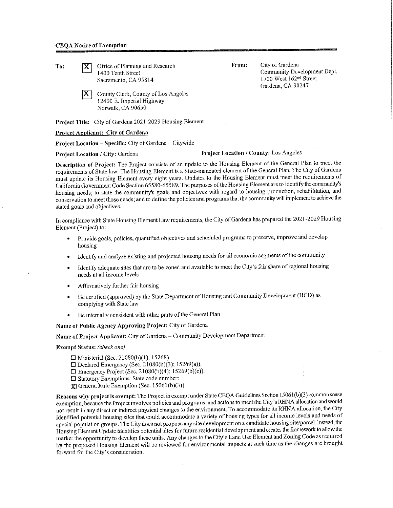To: **X** Office of Planning and Research 1400 Tenth Street Sacramento, CA 95814

> IX. County Clerk, County of Los Angeles 12400 E. Imperial Highway Norwalk, CA 90650

Project Title: City of Gardena 2021 -2029 Housing Element

### Project Applicant: City of Gardena

Project Location-Specific: City of Gardena-Citywide

## Project Location / City: Gardena Project Location / County: Los Angeles

Description of Project: The Project consists of an update to the Housing Element of the General Plan to meet the requirements of State law. The Housing Element is a State-mandated element of the General Plan. The City of Gardena must update its Housing Element every eight years. Updates to the Housing Element must meet the requirements of California Government Code Section 65580-65589. The purposes of the Housing Element are to identify the community's housing needs; to state the community's goals and objectives with regard to housing production, rehabilitation, and conservation to meet those needs; and to define the policies and programs that the community will implement to achieve the stated goals and objectives.

In compliance with State Housing Element Law requirements, the City of Gardena has prepared the 2021-2029 Housing Element (Project) to:

- Provide goals, policies, quantified objectives and scheduled programs to preserve, improve and develop housing
- Identify and analyze existing and projected housing needs for all economic segments of the community
- Identify adequate sites that are to be zoned and available to meet the City's fair share of regional housing needs at all income levels
- Affirmatively further fair housing
- Be certified (approved) by the State Department of Housing and Community Development (HCD) as complying with State law
- Be internally consistent with other parts of the General Plan

#### Name of Public Agency Approving Project: City of Gardena

# Name of Project Applicant: City of Gardena - Community Development Department

#### **Exempt Status:** *(check one)*

- $\Box$  Ministerial (Sec. 21080(b)(1); 15268).
- $\square$  Declared Emergency (Sec. 21080(b)(3); 15269(a)).
- $\Box$  Emergency Project (Sec. 21080(b)(4); 15269(b)(c)).
- D Statutory Exemptions. State code number:
- **:li:]** General Rule Exemption (Sec. 1506l(b)(3)).

Reasons why project is exempt: The Project is exempt under State CEQA Guidelines Section 15061(b)(3) common sense exemption, because the Project involves policies and programs, and actions to meet the City's RHNA allocation and would not result in any direct or indirect physical changes to the environment. To accommodate its RIINA allocation, the City identified potential housing sites that could accommodate a variety of housing types for all income levels and needs of special population groups. The City does not propose any site development on a candidate housing site/parcel. Instead, the Housing Element Update identifies potential sites for future residential development and creates the framework to allow the market the opportunity to develop these units. Any changes to the City's Land Use Element and Zoning Code as required by the proposed Housing Element will be reviewed for environmental impacts at such time as the changes arc brought forward for the City's consideration.

From: City of Gardena Community Development Dcpl. 1700 West 162<sup>nd</sup> Street

Gardena, CA 90247